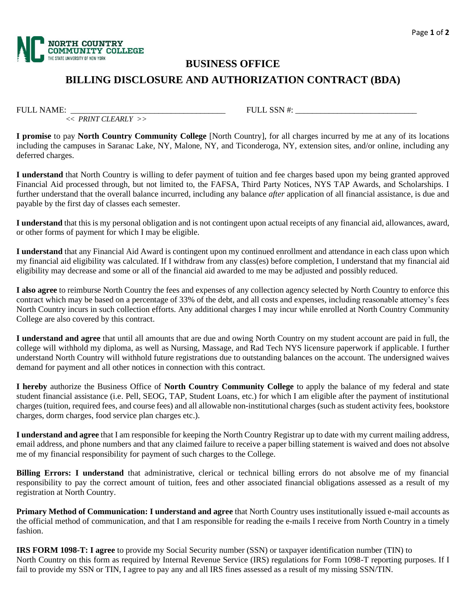

<< *PRINT CLEARLY >>*

# **BUSINESS OFFICE**

## **BILLING DISCLOSURE AND AUTHORIZATION CONTRACT (BDA)**

FULL NAME: THE EXAMERICATE SOME  $\sim$  FULL SSN #:

**I promise** to pay **North Country Community College** [North Country], for all charges incurred by me at any of its locations including the campuses in Saranac Lake, NY, Malone, NY, and Ticonderoga, NY, extension sites, and/or online, including any deferred charges.

**I understand** that North Country is willing to defer payment of tuition and fee charges based upon my being granted approved Financial Aid processed through, but not limited to, the FAFSA, Third Party Notices, NYS TAP Awards, and Scholarships. I further understand that the overall balance incurred, including any balance *after* application of all financial assistance, is due and payable by the first day of classes each semester.

**I understand** that this is my personal obligation and is not contingent upon actual receipts of any financial aid, allowances, award, or other forms of payment for which I may be eligible.

**I understand** that any Financial Aid Award is contingent upon my continued enrollment and attendance in each class upon which my financial aid eligibility was calculated. If I withdraw from any class(es) before completion, I understand that my financial aid eligibility may decrease and some or all of the financial aid awarded to me may be adjusted and possibly reduced.

**I also agree** to reimburse North Country the fees and expenses of any collection agency selected by North Country to enforce this contract which may be based on a percentage of 33% of the debt, and all costs and expenses, including reasonable attorney's fees North Country incurs in such collection efforts. Any additional charges I may incur while enrolled at North Country Community College are also covered by this contract.

**I understand and agree** that until all amounts that are due and owing North Country on my student account are paid in full, the college will withhold my diploma, as well as Nursing, Massage, and Rad Tech NYS licensure paperwork if applicable. I further understand North Country will withhold future registrations due to outstanding balances on the account. The undersigned waives demand for payment and all other notices in connection with this contract.

**I hereby** authorize the Business Office of **North Country Community College** to apply the balance of my federal and state student financial assistance (i.e. Pell, SEOG, TAP, Student Loans, etc.) for which I am eligible after the payment of institutional charges (tuition, required fees, and course fees) and all allowable non-institutional charges (such as student activity fees, bookstore charges, dorm charges, food service plan charges etc.).

**I understand and agree** that I am responsible for keeping the North Country Registrar up to date with my current mailing address, email address, and phone numbers and that any claimed failure to receive a paper billing statement is waived and does not absolve me of my financial responsibility for payment of such charges to the College.

**Billing Errors: I understand** that administrative, clerical or technical billing errors do not absolve me of my financial responsibility to pay the correct amount of tuition, fees and other associated financial obligations assessed as a result of my registration at North Country.

**Primary Method of Communication: I understand and agree** that North Country uses institutionally issued e-mail accounts as the official method of communication, and that I am responsible for reading the e-mails I receive from North Country in a timely fashion.

**IRS FORM 1098-T: I agree** to provide my Social Security number (SSN) or taxpayer identification number (TIN) to North Country on this form as required by Internal Revenue Service (IRS) regulations for Form 1098-T reporting purposes. If I fail to provide my SSN or TIN, I agree to pay any and all IRS fines assessed as a result of my missing SSN/TIN.